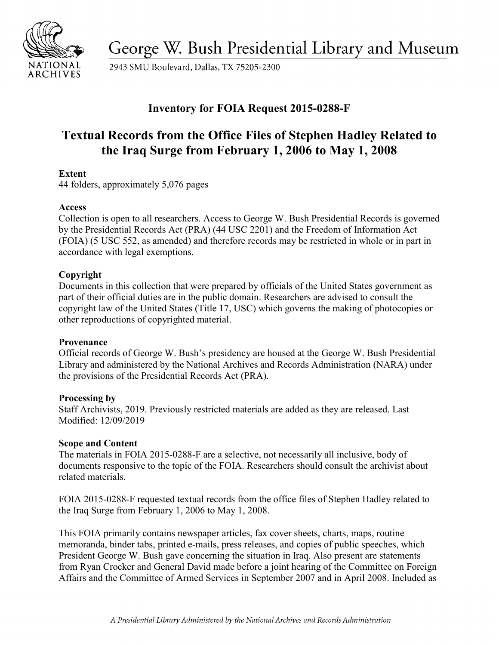

George W. Bush Presidential Library and Museum

2943 SMU Boulevard, Dallas, TX 75205-2300

# **Inventory for FOIA Request 2015-0288-F**

# **Textual Records from the Office Files of Stephen Hadley Related to the Iraq Surge from February 1, 2006 to May 1, 2008**

# **Extent**

44 folders, approximately 5,076 pages

# **Access**

 by the Presidential Records Act (PRA) (44 USC 2201) and the Freedom of Information Act Collection is open to all researchers. Access to George W. Bush Presidential Records is governed (FOIA) (5 USC 552, as amended) and therefore records may be restricted in whole or in part in accordance with legal exemptions.

# **Copyright**

 Documents in this collection that were prepared by officials of the United States government as part of their official duties are in the public domain. Researchers are advised to consult the copyright law of the United States (Title 17, USC) which governs the making of photocopies or other reproductions of copyrighted material.

#### **Provenance**

 Official records of George W. Bush's presidency are housed at the George W. Bush Presidential Library and administered by the National Archives and Records Administration (NARA) under the provisions of the Presidential Records Act (PRA).

#### **Processing by**

Staff Archivists, 2019. Previously restricted materials are added as they are released. Last Modified: 12/09/2019

#### **Scope and Content**

The materials in FOIA 2015-0288-F are a selective, not necessarily all inclusive, body of documents responsive to the topic of the FOIA. Researchers should consult the archivist about related materials.

FOIA 2015-0288-F requested textual records from the office files of Stephen Hadley related to the Iraq Surge from February 1, 2006 to May 1, 2008.

This FOIA primarily contains newspaper articles, fax cover sheets, charts, maps, routine memoranda, binder tabs, printed e-mails, press releases, and copies of public speeches, which President George W. Bush gave concerning the situation in Iraq. Also present are statements from Ryan Crocker and General David made before a joint hearing of the Committee on Foreign Affairs and the Committee of Armed Services in September 2007 and in April 2008. Included as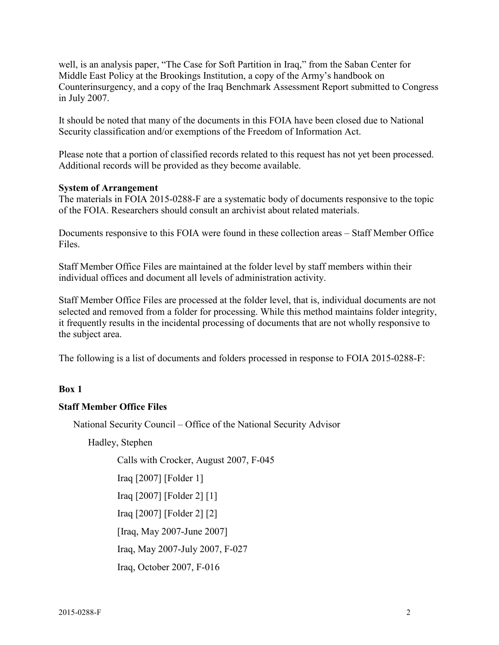well, is an analysis paper, "The Case for Soft Partition in Iraq," from the Saban Center for Middle East Policy at the Brookings Institution, a copy of the Army's handbook on Counterinsurgency, and a copy of the Iraq Benchmark Assessment Report submitted to Congress in July 2007.

It should be noted that many of the documents in this FOIA have been closed due to National Security classification and/or exemptions of the Freedom of Information Act.

Please note that a portion of classified records related to this request has not yet been processed. Additional records will be provided as they become available.

#### **System of Arrangement**

 The materials in FOIA 2015-0288-F are a systematic body of documents responsive to the topic of the FOIA. Researchers should consult an archivist about related materials.

 Documents responsive to this FOIA were found in these collection areas – Staff Member Office Files.

Staff Member Office Files are maintained at the folder level by staff members within their individual offices and document all levels of administration activity.

Staff Member Office Files are processed at the folder level, that is, individual documents are not selected and removed from a folder for processing. While this method maintains folder integrity, it frequently results in the incidental processing of documents that are not wholly responsive to the subject area.

The following is a list of documents and folders processed in response to FOIA 2015-0288-F:

#### **Box 1**

#### **Staff Member Office Files**

National Security Council – Office of the National Security Advisor

Hadley, Stephen

Calls with Crocker, August 2007, F-045

Iraq [2007] [Folder 1]

Iraq [2007] [Folder 2] [1]

Iraq [2007] [Folder 2] [2]

[Iraq, May 2007-June 2007]

Iraq, May 2007-July 2007, F-027

Iraq, October 2007, F-016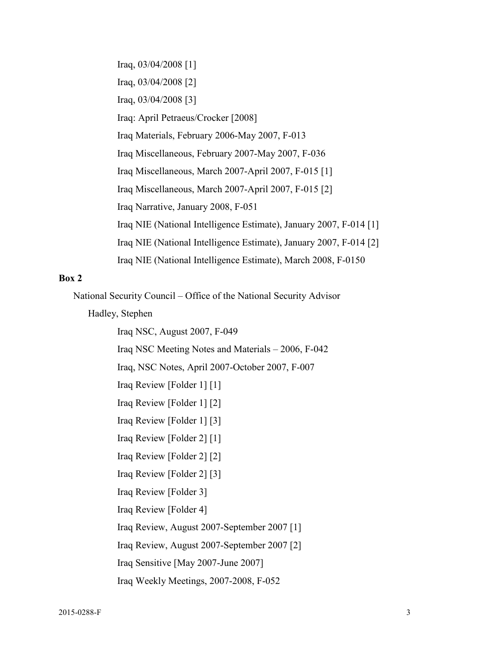Iraq, 03/04/2008 [1] Iraq, 03/04/2008 [2] Iraq, 03/04/2008 [3] Iraq: April Petraeus/Crocker [2008] Iraq Materials, February 2006-May 2007, F-013 Iraq Miscellaneous, February 2007-May 2007, F-036 Iraq Miscellaneous, March 2007-April 2007, F-015 [1] Iraq Miscellaneous, March 2007-April 2007, F-015 [2] Iraq Narrative, January 2008, F-051 Iraq NIE (National Intelligence Estimate), January 2007, F-014 [1] Iraq NIE (National Intelligence Estimate), January 2007, F-014 [2] Iraq NIE (National Intelligence Estimate), March 2008, F-0150

#### **Box 2**

National Security Council – Office of the National Security Advisor

Hadley, Stephen

Iraq NSC, August 2007, F-049 Iraq NSC Meeting Notes and Materials – 2006, F-042 Iraq, NSC Notes, April 2007-October 2007, F-007 Iraq Review [Folder 1] [1] Iraq Review [Folder 1] [2] Iraq Review [Folder 1] [3] Iraq Review [Folder 2] [1] Iraq Review [Folder 2] [2] Iraq Review [Folder 2] [3] Iraq Review [Folder 3] Iraq Review [Folder 4] Iraq Review, August 2007-September 2007 [1] Iraq Review, August 2007-September 2007 [2] Iraq Sensitive [May 2007-June 2007] Iraq Weekly Meetings, 2007-2008, F-052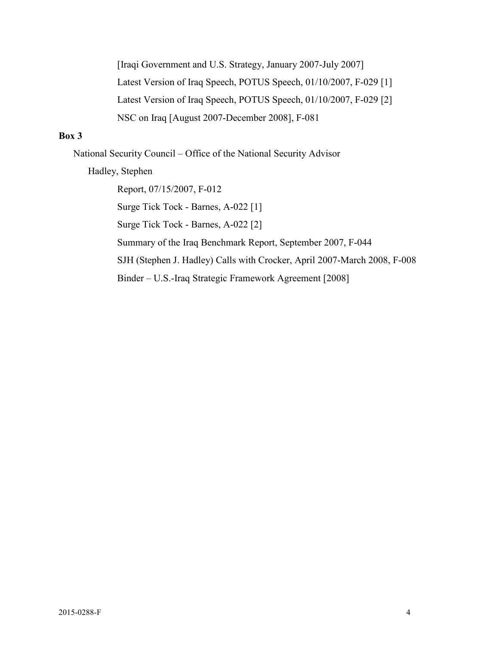[Iraqi Government and U.S. Strategy, January 2007-July 2007] Latest Version of Iraq Speech, POTUS Speech, 01/10/2007, F-029 [1] Latest Version of Iraq Speech, POTUS Speech, 01/10/2007, F-029 [2] NSC on Iraq [August 2007-December 2008], F-081

# **Box 3**

National Security Council – Office of the National Security Advisor

Hadley, Stephen

Report, 07/15/2007, F-012 Surge Tick Tock - Barnes, A-022 [1] Surge Tick Tock - Barnes, A-022 [2] Summary of the Iraq Benchmark Report, September 2007, F-044 SJH (Stephen J. Hadley) Calls with Crocker, April 2007-March 2008, F-008 Binder – U.S.-Iraq Strategic Framework Agreement [2008]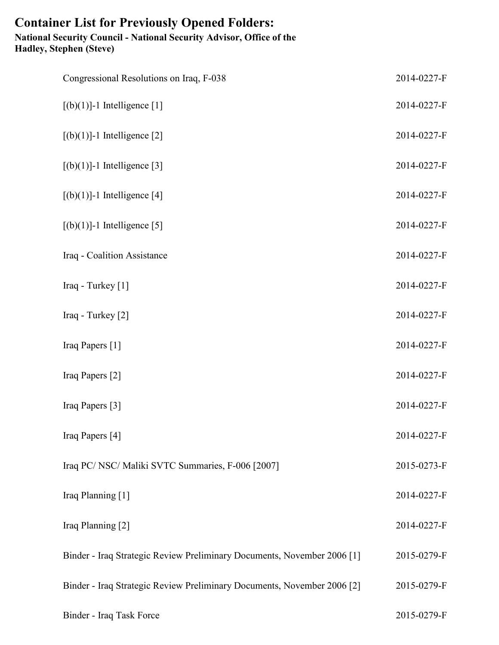# **Container List for Previously Opened Folders: National Security Council - National Security Advisor, Office of the Hadley, Stephen (Steve)**

| Congressional Resolutions on Iraq, F-038                                | 2014-0227-F |
|-------------------------------------------------------------------------|-------------|
| $[(b)(1)]$ -1 Intelligence [1]                                          | 2014-0227-F |
| $[(b)(1)]$ -1 Intelligence [2]                                          | 2014-0227-F |
| $[(b)(1)]$ -1 Intelligence [3]                                          | 2014-0227-F |
| $[(b)(1)]$ -1 Intelligence [4]                                          | 2014-0227-F |
| $[(b)(1)]$ -1 Intelligence [5]                                          | 2014-0227-F |
| Iraq - Coalition Assistance                                             | 2014-0227-F |
| Iraq - Turkey [1]                                                       | 2014-0227-F |
| Iraq - Turkey [2]                                                       | 2014-0227-F |
| Iraq Papers [1]                                                         | 2014-0227-F |
| Iraq Papers [2]                                                         | 2014-0227-F |
| Iraq Papers [3]                                                         | 2014-0227-F |
| Iraq Papers [4]                                                         | 2014-0227-F |
| Iraq PC/ NSC/ Maliki SVTC Summaries, F-006 [2007]                       | 2015-0273-F |
| Iraq Planning [1]                                                       | 2014-0227-F |
| Iraq Planning [2]                                                       | 2014-0227-F |
| Binder - Iraq Strategic Review Preliminary Documents, November 2006 [1] | 2015-0279-F |
| Binder - Iraq Strategic Review Preliminary Documents, November 2006 [2] | 2015-0279-F |
| Binder - Iraq Task Force                                                | 2015-0279-F |